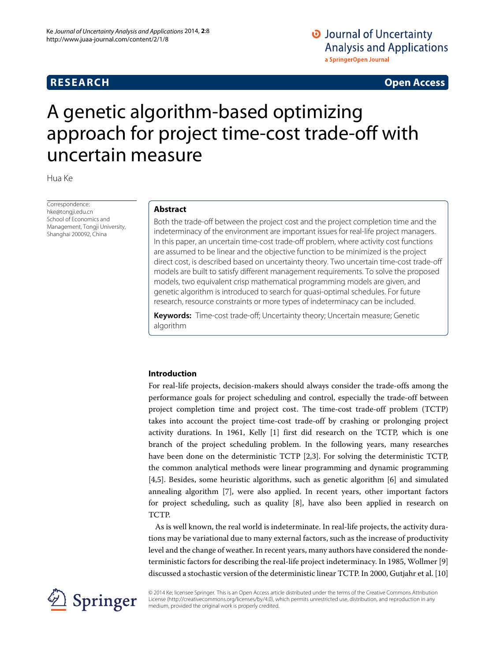## **RESEARCH Open Access**

# O Journal of Uncertainty **Analysis and Applications** a SpringerOpen Journal

# A genetic algorithm-based optimizing approach for project time-cost trade-off with uncertain measure

Hua Ke

Correspondence: hke@tongii.edu.cn School of Economics and Management, Tongji University, Shanghai 200092, China

#### **Abstract**

Both the trade-off between the project cost and the project completion time and the indeterminacy of the environment are important issues for real-life project managers. In this paper, an uncertain time-cost trade-off problem, where activity cost functions are assumed to be linear and the objective function to be minimized is the project direct cost, is described based on uncertainty theory. Two uncertain time-cost trade-off models are built to satisfy different management requirements. To solve the proposed models, two equivalent crisp mathematical programming models are given, and genetic algorithm is introduced to search for quasi-optimal schedules. For future research, resource constraints or more types of indeterminacy can be included.

**Keywords:** Time-cost trade-off; Uncertainty theory; Uncertain measure; Genetic algorithm

#### **Introduction**

For real-life projects, decision-makers should always consider the trade-offs among the performance goals for project scheduling and control, especially the trade-off between project completion time and project cost. The time-cost trade-off problem (TCTP) takes into account the project time-cost trade-off by crashing or prolonging project activity durations. In 1961, Kelly [\[1\]](#page-8-0) first did research on the TCTP, which is one branch of the project scheduling problem. In the following years, many researches have been done on the deterministic TCTP [\[2,](#page-8-1)[3\]](#page-8-2). For solving the deterministic TCTP, the common analytical methods were linear programming and dynamic programming [\[4](#page-8-3)[,5\]](#page-8-4). Besides, some heuristic algorithms, such as genetic algorithm [\[6\]](#page-8-5) and simulated annealing algorithm [\[7\]](#page-8-6), were also applied. In recent years, other important factors for project scheduling, such as quality [\[8\]](#page-8-7), have also been applied in research on TCTP.

As is well known, the real world is indeterminate. In real-life projects, the activity durations may be variational due to many external factors, such as the increase of productivity level and the change of weather. In recent years, many authors have considered the nondeterministic factors for describing the real-life project indeterminacy. In 1985, Wollmer [\[9\]](#page-8-8) discussed a stochastic version of the deterministic linear TCTP. In 2000, Gutjahr et al. [\[10\]](#page-8-9)



© 2014 Ke; licensee Springer. This is an Open Access article distributed under the terms of the Creative Commons Attribution License [\(http://creativecommons.org/licenses/by/4.0\)](http://creativecommons.org/licenses/by/4.0), which permits unrestricted use, distribution, and reproduction in any medium, provided the original work is properly credited.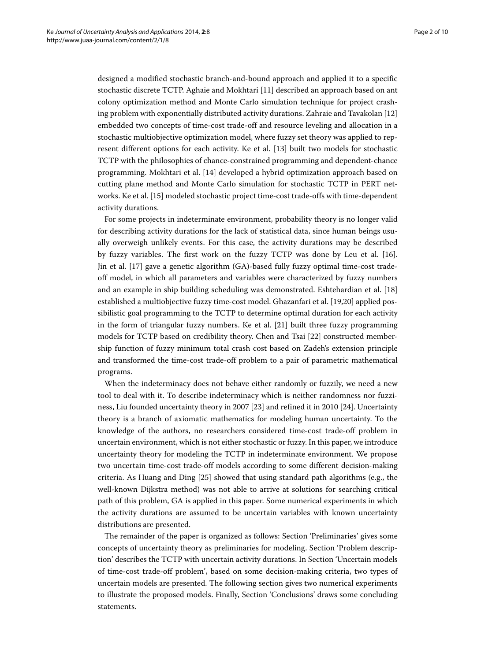designed a modified stochastic branch-and-bound approach and applied it to a specific stochastic discrete TCTP. Aghaie and Mokhtari [\[11\]](#page-8-10) described an approach based on ant colony optimization method and Monte Carlo simulation technique for project crashing problem with exponentially distributed activity durations. Zahraie and Tavakolan [\[12\]](#page-8-11) embedded two concepts of time-cost trade-off and resource leveling and allocation in a stochastic multiobjective optimization model, where fuzzy set theory was applied to represent different options for each activity. Ke et al. [\[13\]](#page-8-12) built two models for stochastic TCTP with the philosophies of chance-constrained programming and dependent-chance programming. Mokhtari et al. [\[14\]](#page-8-13) developed a hybrid optimization approach based on cutting plane method and Monte Carlo simulation for stochastic TCTP in PERT networks. Ke et al. [\[15\]](#page-8-14) modeled stochastic project time-cost trade-offs with time-dependent activity durations.

For some projects in indeterminate environment, probability theory is no longer valid for describing activity durations for the lack of statistical data, since human beings usually overweigh unlikely events. For this case, the activity durations may be described by fuzzy variables. The first work on the fuzzy TCTP was done by Leu et al. [\[16\]](#page-8-15). Jin et al. [\[17\]](#page-8-16) gave a genetic algorithm (GA)-based fully fuzzy optimal time-cost tradeoff model, in which all parameters and variables were characterized by fuzzy numbers and an example in ship building scheduling was demonstrated. Eshtehardian et al. [\[18\]](#page-8-17) established a multiobjective fuzzy time-cost model. Ghazanfari et al. [\[19,](#page-8-18)[20\]](#page-8-19) applied possibilistic goal programming to the TCTP to determine optimal duration for each activity in the form of triangular fuzzy numbers. Ke et al. [\[21\]](#page-8-20) built three fuzzy programming models for TCTP based on credibility theory. Chen and Tsai [\[22\]](#page-8-21) constructed membership function of fuzzy minimum total crash cost based on Zadeh's extension principle and transformed the time-cost trade-off problem to a pair of parametric mathematical programs.

When the indeterminacy does not behave either randomly or fuzzily, we need a new tool to deal with it. To describe indeterminacy which is neither randomness nor fuzziness, Liu founded uncertainty theory in 2007 [\[23\]](#page-8-22) and refined it in 2010 [\[24\]](#page-8-23). Uncertainty theory is a branch of axiomatic mathematics for modeling human uncertainty. To the knowledge of the authors, no researchers considered time-cost trade-off problem in uncertain environment, which is not either stochastic or fuzzy. In this paper, we introduce uncertainty theory for modeling the TCTP in indeterminate environment. We propose two uncertain time-cost trade-off models according to some different decision-making criteria. As Huang and Ding [\[25\]](#page-8-24) showed that using standard path algorithms (e.g., the well-known Dijkstra method) was not able to arrive at solutions for searching critical path of this problem, GA is applied in this paper. Some numerical experiments in which the activity durations are assumed to be uncertain variables with known uncertainty distributions are presented.

The remainder of the paper is organized as follows: Section ['Preliminaries'](#page-2-0) gives some concepts of uncertainty theory as preliminaries for modeling. Section ['Problem descrip](#page-3-0)[tion'](#page-3-0) describes the TCTP with uncertain activity durations. In Section ['Uncertain models](#page-5-0) [of time-cost trade-off problem'](#page-5-0), based on some decision-making criteria, two types of uncertain models are presented. The following section gives two numerical experiments to illustrate the proposed models. Finally, Section ['Conclusions'](#page-7-0) draws some concluding statements.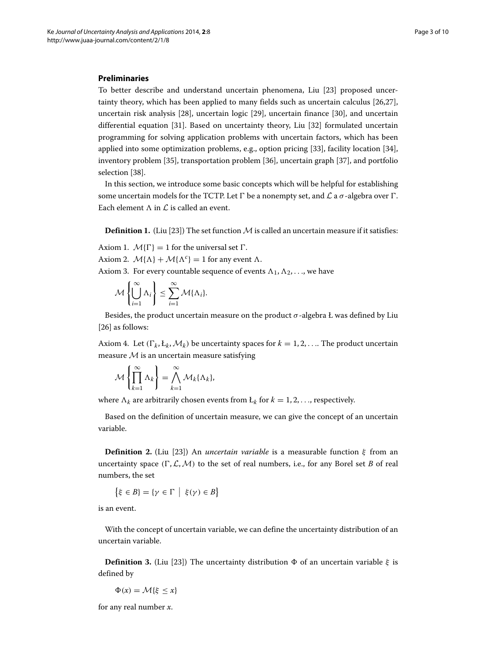#### <span id="page-2-0"></span>**Preliminaries**

To better describe and understand uncertain phenomena, Liu [\[23\]](#page-8-22) proposed uncertainty theory, which has been applied to many fields such as uncertain calculus [\[26,](#page-8-25)[27\]](#page-8-26), uncertain risk analysis [\[28\]](#page-8-27), uncertain logic [\[29\]](#page-8-28), uncertain finance [\[30\]](#page-9-0), and uncertain differential equation [\[31\]](#page-9-1). Based on uncertainty theory, Liu [\[32\]](#page-9-2) formulated uncertain programming for solving application problems with uncertain factors, which has been applied into some optimization problems, e.g., option pricing [\[33\]](#page-9-3), facility location [\[34\]](#page-9-4), inventory problem [\[35\]](#page-9-5), transportation problem [\[36\]](#page-9-6), uncertain graph [\[37\]](#page-9-7), and portfolio selection [\[38\]](#page-9-8).

In this section, we introduce some basic concepts which will be helpful for establishing some uncertain models for the TCTP. Let  $\Gamma$  be a nonempty set, and  $\mathcal L$  a  $\sigma$  -algebra over  $\Gamma$ . Each element  $\Lambda$  in  $\mathcal L$  is called an event.

**Definition 1.** (Liu [\[23\]](#page-8-22)) The set function  $M$  is called an uncertain measure if it satisfies:

Axiom 1.  $\mathcal{M}\{\Gamma\} = 1$  for the universal set  $\Gamma$ .

Axiom 2.  $\mathcal{M}\{\Lambda\} + \mathcal{M}\{\Lambda^c\} = 1$  for any event  $\Lambda$ .

Axiom 3. For every countable sequence of events  $\Lambda_1, \Lambda_2, \ldots$ , we have

$$
\mathcal{M}\left\{\bigcup_{i=1}^{\infty}\Lambda_i\right\}\leq \sum_{i=1}^{\infty}\mathcal{M}\{\Lambda_i\}.
$$

Besides, the product uncertain measure on the product *σ*-algebra Ł was defined by Liu [\[26\]](#page-8-25) as follows:

Axiom 4. Let  $(\Gamma_k, \mathcal{L}_k, \mathcal{M}_k)$  be uncertainty spaces for  $k = 1, 2, \ldots$  The product uncertain measure  $M$  is an uncertain measure satisfying

$$
\mathcal{M}\left\{\prod_{k=1}^{\infty}\Lambda_k\right\}=\bigwedge_{k=1}^{\infty}\mathcal{M}_k\{\Lambda_k\},\
$$

where  $\Lambda_k$  are arbitrarily chosen events from  $L_k$  for  $k = 1, 2, \ldots$ , respectively.

Based on the definition of uncertain measure, we can give the concept of an uncertain variable.

**Definition 2.** (Liu [\[23\]](#page-8-22)) An *uncertain variable* is a measurable function *ξ* from an uncertainty space  $(\Gamma, \mathcal{L}, \mathcal{M})$  to the set of real numbers, i.e., for any Borel set *B* of real numbers, the set

$$
\{\xi \in B\} = \{\gamma \in \Gamma \mid \xi(\gamma) \in B\}
$$

is an event.

With the concept of uncertain variable, we can define the uncertainty distribution of an uncertain variable.

**Definition 3.** (Liu [\[23\]](#page-8-22)) The uncertainty distribution  $\Phi$  of an uncertain variable  $\xi$  is defined by

 $\Phi(x) = \mathcal{M}\{\xi \leq x\}$ 

for any real number *x*.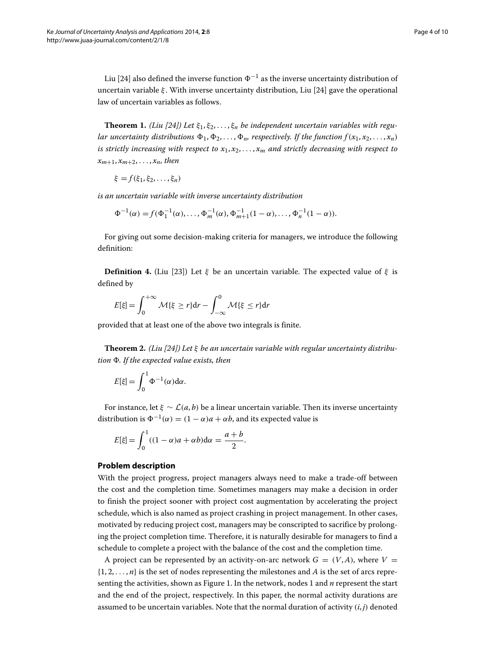Liu [\[24\]](#page-8-23) also defined the inverse function  $\Phi^{-1}$  as the inverse uncertainty distribution of uncertain variable *ξ* . With inverse uncertainty distribution, Liu [\[24\]](#page-8-23) gave the operational law of uncertain variables as follows.

**Theorem 1.** *(Liu [\[24\]](#page-8-23))* Let  $\xi_1, \xi_2, \ldots, \xi_n$  be independent uncertain variables with regu*lar uncertainty distributions*  $\Phi_1, \Phi_2, \ldots, \Phi_n$  respectively. If the function  $f(x_1, x_2, \ldots, x_n)$ *is strictly increasing with respect to x*1, *x*2, *...* , *xm and strictly decreasing with respect to*  $x_{m+1}, x_{m+2}, \ldots, x_n$ , then

$$
\xi = f(\xi_1, \xi_2, \ldots, \xi_n)
$$

*is an uncertain variable with inverse uncertainty distribution*

$$
\Phi^{-1}(\alpha) = f(\Phi_1^{-1}(\alpha), \dots, \Phi_m^{-1}(\alpha), \Phi_{m+1}^{-1}(1-\alpha), \dots, \Phi_n^{-1}(1-\alpha)).
$$

For giving out some decision-making criteria for managers, we introduce the following definition:

**Definition 4.** (Liu [\[23\]](#page-8-22)) Let  $\xi$  be an uncertain variable. The expected value of  $\xi$  is defined by

$$
E[\xi] = \int_0^{+\infty} \mathcal{M}\{\xi \ge r\} dr - \int_{-\infty}^0 \mathcal{M}\{\xi \le r\} dr
$$

provided that at least one of the above two integrals is finite.

**Theorem 2.** *(Liu [\[24\]](#page-8-23)) Let ξ be an uncertain variable with regular uncertainty distribution . If the expected value exists, then*

$$
E[\xi] = \int_0^1 \Phi^{-1}(\alpha) d\alpha.
$$

For instance, let  $\xi \sim \mathcal{L}(a, b)$  be a linear uncertain variable. Then its inverse uncertainty distribution is  $\Phi^{-1}(\alpha) = (1 - \alpha)a + \alpha b$ , and its expected value is

$$
E[\xi] = \int_0^1 ((1 - \alpha)a + \alpha b) d\alpha = \frac{a + b}{2}.
$$

#### **Problem description**

<span id="page-3-0"></span>With the project progress, project managers always need to make a trade-off between the cost and the completion time. Sometimes managers may make a decision in order to finish the project sooner with project cost augmentation by accelerating the project schedule, which is also named as project crashing in project management. In other cases, motivated by reducing project cost, managers may be conscripted to sacrifice by prolonging the project completion time. Therefore, it is naturally desirable for managers to find a schedule to complete a project with the balance of the cost and the completion time.

A project can be represented by an activity-on-arc network  $G = (V, A)$ , where  $V =$  $\{1, 2, \ldots, n\}$  is the set of nodes representing the milestones and *A* is the set of arcs representing the activities, shown as Figure [1.](#page-4-0) In the network, nodes 1 and *n* represent the start and the end of the project, respectively. In this paper, the normal activity durations are assumed to be uncertain variables. Note that the normal duration of activity *(i*, *j)* denoted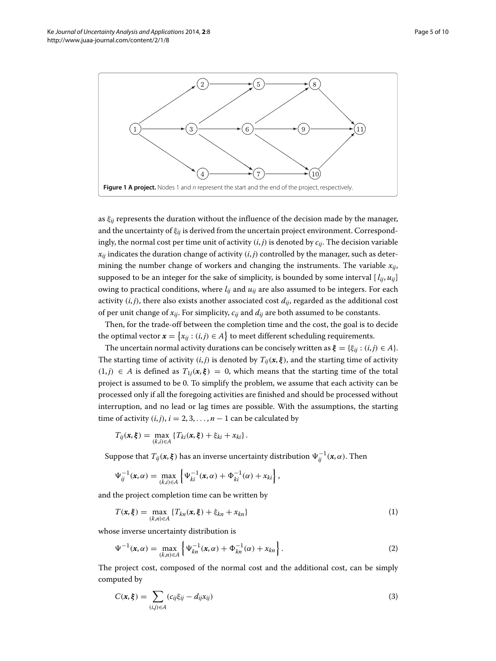

<span id="page-4-0"></span>as  $\xi_{ii}$  represents the duration without the influence of the decision made by the manager, and the uncertainty of *ξij* is derived from the uncertain project environment. Correspondingly, the normal cost per time unit of activity *(i*, *j)* is denoted by *cij*. The decision variable  $x_{ij}$  indicates the duration change of activity  $(i, j)$  controlled by the manager, such as determining the number change of workers and changing the instruments. The variable  $x_{ij}$ , supposed to be an integer for the sake of simplicity, is bounded by some interval  $[i_{ij}, u_{ij}]$ owing to practical conditions, where *lij* and *uij* are also assumed to be integers. For each activity  $(i, j)$ , there also exists another associated cost  $d_{ii}$ , regarded as the additional cost of per unit change of  $x_{ij}$ . For simplicity,  $c_{ij}$  and  $d_{ij}$  are both assumed to be constants.

Then, for the trade-off between the completion time and the cost, the goal is to decide the optimal vector  $\mathbf{x} = \{x_{ij} : (i,j) \in A\}$  to meet different scheduling requirements.

The uncertain normal activity durations can be concisely written as  $\xi = {\xi_{ij}}$ :  $(i, j) \in A$ . The starting time of activity  $(i, j)$  is denoted by  $T_{ij}(x, \xi)$ , and the starting time of activity  $(1, j)$  ∈ *A* is defined as  $T_{1j}$  $(x, \xi) = 0$ , which means that the starting time of the total project is assumed to be 0. To simplify the problem, we assume that each activity can be processed only if all the foregoing activities are finished and should be processed without interruption, and no lead or lag times are possible. With the assumptions, the starting time of activity  $(i, j)$ ,  $i = 2, 3, \ldots, n - 1$  can be calculated by

$$
T_{ij}(\boldsymbol{x},\boldsymbol{\xi}) = \max_{(k,i)\in A} \left\{ T_{ki}(\boldsymbol{x},\boldsymbol{\xi}) + \xi_{ki} + x_{ki} \right\}.
$$

Suppose that  $T_{ij}(\bm{x}, \bm{\xi})$  has an inverse uncertainty distribution  $\Psi^{-1}_{ij}(\bm{x}, \alpha)$ . Then

<span id="page-4-1"></span>
$$
\Psi_{ij}^{-1}(\mathbf{x}, \alpha) = \max_{(k,i) \in A} \left\{ \Psi_{ki}^{-1}(\mathbf{x}, \alpha) + \Phi_{ki}^{-1}(\alpha) + x_{ki} \right\},\
$$

and the project completion time can be written by

$$
T(\mathbf{x}, \xi) = \max_{(k,n) \in A} \{ T_{kn}(\mathbf{x}, \xi) + \xi_{kn} + x_{kn} \}
$$
 (1)

whose inverse uncertainty distribution is

<span id="page-4-3"></span>
$$
\Psi^{-1}(\mathbf{x}, \alpha) = \max_{(k,n) \in A} \left\{ \Psi_{kn}^{-1}(\mathbf{x}, \alpha) + \Phi_{kn}^{-1}(\alpha) + x_{kn} \right\}.
$$
 (2)

The project cost, composed of the normal cost and the additional cost, can be simply computed by

<span id="page-4-2"></span>
$$
C(\mathbf{x},\xi) = \sum_{(i,j)\in A} (c_{ij}\xi_{ij} - d_{ij}x_{ij})
$$
\n(3)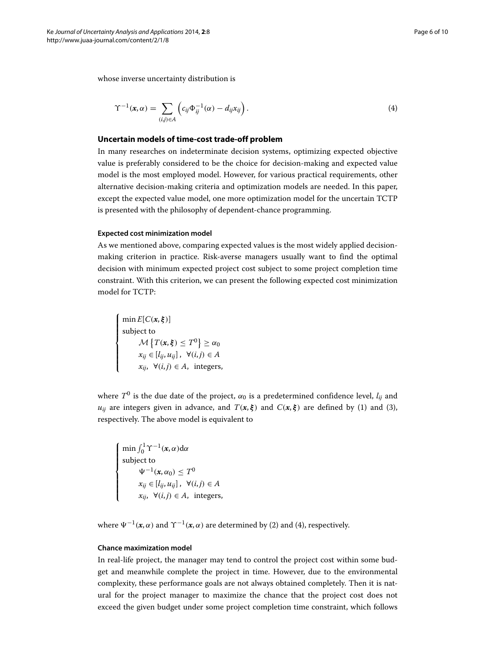whose inverse uncertainty distribution is

<span id="page-5-1"></span>
$$
\Upsilon^{-1}(\mathbf{x}, \alpha) = \sum_{(i,j) \in A} \left( c_{ij} \Phi_{ij}^{-1}(\alpha) - d_{ij} x_{ij} \right). \tag{4}
$$

#### **Uncertain models of time-cost trade-off problem**

<span id="page-5-0"></span>In many researches on indeterminate decision systems, optimizing expected objective value is preferably considered to be the choice for decision-making and expected value model is the most employed model. However, for various practical requirements, other alternative decision-making criteria and optimization models are needed. In this paper, except the expected value model, one more optimization model for the uncertain TCTP is presented with the philosophy of dependent-chance programming.

#### **Expected cost minimization model**

As we mentioned above, comparing expected values is the most widely applied decisionmaking criterion in practice. Risk-averse managers usually want to find the optimal decision with minimum expected project cost subject to some project completion time constraint. With this criterion, we can present the following expected cost minimization model for TCTP:

 $\mathbf{r}$  $\int$  $\frac{1}{\sqrt{2\pi}}$ min *E*[*C(x*, *ξ )*] subject to  $\mathcal{M}\left\{T(\mathbf{x}, \boldsymbol{\xi}) \leq T^0\right\} \geq \alpha_0$ *xij* ∈ [*lij*, *uij*] , ∀*(i*, *j)* ∈ *A*  $x_{ij}$ , ∀(*i*,*j*) ∈ *A*, integers,

where  $T^0$  is the due date of the project,  $\alpha_0$  is a predetermined confidence level,  $l_{ii}$  and *u<sub>ij</sub>* are integers given in advance, and  $T(x, \xi)$  and  $C(x, \xi)$  are defined by [\(1\)](#page-4-1) and [\(3\)](#page-4-2), respectively. The above model is equivalent to

 $\mathbf{r}$  $\int$  $\frac{1}{\sqrt{2\pi}}$  $\min \int_0^1 \Upsilon^{-1}(x, \alpha) d\alpha$ subject to *V*<sup>−1</sup>(*x*, *α*<sub>0</sub>) ≤ *T*<sup>0</sup> *xij* ∈ [*lij*, *uij*] , ∀*(i*, *j)* ∈ *A*  $x_{ij}$ , ∀(*i*, *j*) ∈ *A*, integers,

where  $\Psi^{-1}(\mathbf{x}, \alpha)$  and  $\Upsilon^{-1}(\mathbf{x}, \alpha)$  are determined by [\(2\)](#page-4-3) and [\(4\)](#page-5-1), respectively.

#### **Chance maximization model**

In real-life project, the manager may tend to control the project cost within some budget and meanwhile complete the project in time. However, due to the environmental complexity, these performance goals are not always obtained completely. Then it is natural for the project manager to maximize the chance that the project cost does not exceed the given budget under some project completion time constraint, which follows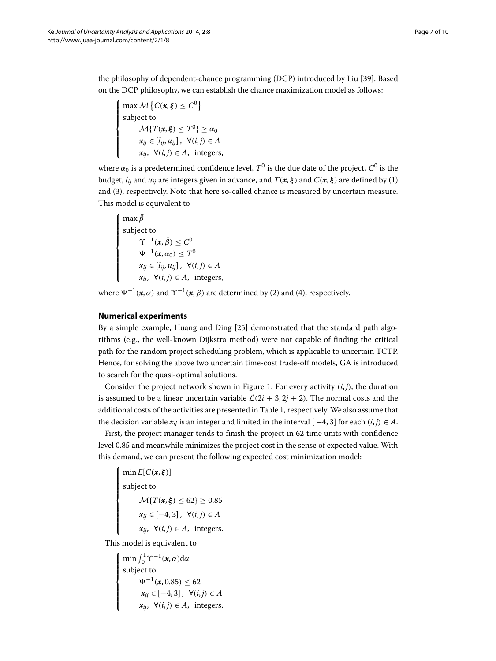the philosophy of dependent-chance programming (DCP) introduced by Liu [\[39\]](#page-9-9). Based on the DCP philosophy, we can establish the chance maximization model as follows:

$$
\begin{cases}\n\max \mathcal{M}\left\{C(\mathbf{x}, \boldsymbol{\xi}) \le C^0\right\} \\
\text{subject to} \\
\mathcal{M}\left\{T(\mathbf{x}, \boldsymbol{\xi}) \le T^0\right\} \ge \alpha_0 \\
x_{ij} \in [l_{ij}, u_{ij}], \ \forall (i, j) \in A \\
x_{ij}, \ \forall (i, j) \in A, \ \text{integers,}\n\end{cases}
$$

where  $\alpha_0$  is a predetermined confidence level,  $T^0$  is the due date of the project,  $C^0$  is the budget,  $l_{ij}$  and  $u_{ij}$  are integers given in advance, and  $T(x, \xi)$  and  $C(x, \xi)$  are defined by [\(1\)](#page-4-1) and [\(3\)](#page-4-2), respectively. Note that here so-called chance is measured by uncertain measure. This model is equivalent to

$$
\begin{cases}\n\max \bar{\beta} \\
\text{subject to} \\
\Upsilon^{-1}(\mathbf{x}, \bar{\beta}) \leq C^0 \\
\psi^{-1}(\mathbf{x}, \alpha_0) \leq T^0 \\
x_{ij} \in [l_{ij}, u_{ij}], \ \forall (i, j) \in A \\
x_{ij}, \ \forall (i, j) \in A, \ \text{integers},\n\end{cases}
$$

where  $\Psi^{-1}(\mathbf{x}, \alpha)$  and  $\Upsilon^{-1}(\mathbf{x}, \beta)$  are determined by [\(2\)](#page-4-3) and [\(4\)](#page-5-1), respectively.

### **Numerical experiments**

By a simple example, Huang and Ding [\[25\]](#page-8-24) demonstrated that the standard path algorithms (e.g., the well-known Dijkstra method) were not capable of finding the critical path for the random project scheduling problem, which is applicable to uncertain TCTP. Hence, for solving the above two uncertain time-cost trade-off models, GA is introduced to search for the quasi-optimal solutions.

Consider the project network shown in Figure [1.](#page-4-0) For every activity  $(i, j)$ , the duration is assumed to be a linear uncertain variable  $\mathcal{L}(2i + 3, 2j + 2)$ . The normal costs and the additional costs of the activities are presented in Table [1,](#page-7-1) respectively. We also assume that the decision variable  $x_{ij}$  is an integer and limited in the interval  $[-4, 3]$  for each  $(i, j) \in A$ .

First, the project manager tends to finish the project in 62 time units with confidence level 0.85 and meanwhile minimizes the project cost in the sense of expected value. With this demand, we can present the following expected cost minimization model:

 $\sqrt{ }$  $\frac{1}{\sqrt{2\pi}}$ ⎪⎪⎪⎪⎪⎪⎪⎪⎩ min *E*[*C(x*, *ξ )*] subject to  $\mathcal{M}{T(\mathbf{x}, \xi)} \le 62$   $\ge 0.85$ *xij* ∈ [−4, 3] , ∀*(i*, *j)* ∈ *A x*<sub>*ij*</sub>, ∀ $(i, j)$  ∈ *A*, integers.

This model is equivalent to

 $\sqrt{2}$  $\frac{1}{2}$  $\frac{1}{\sqrt{2\pi}}$  $\min \int_0^1 \Upsilon^{-1}(x, \alpha) d\alpha$ subject to  $\Psi^{-1}$ (*x*, 0.85) ≤ 62 *xij* ∈ [−4, 3] , ∀*(i*, *j)* ∈ *A x*<sub>*ij*</sub>, ∀ $(i, j)$  ∈ *A*, integers.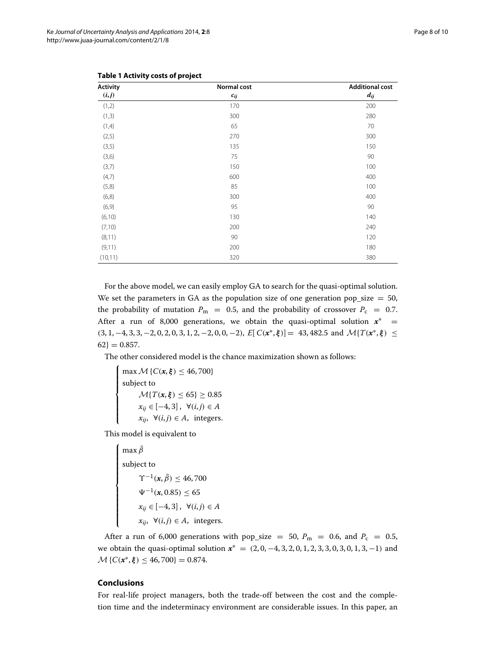| <b>Activity</b><br>$(\boldsymbol{i},\boldsymbol{j})$ | Normal cost<br>$c_{ij}$ | <b>Additional cost</b><br>$d_{ij}$ |
|------------------------------------------------------|-------------------------|------------------------------------|
|                                                      |                         |                                    |
| (1,3)                                                | 300                     | 280                                |
| (1,4)                                                | 65                      | 70                                 |
| (2,5)                                                | 270                     | 300                                |
| (3,5)                                                | 135                     | 150                                |
| (3,6)                                                | 75                      | 90                                 |
| (3,7)                                                | 150                     | 100                                |
| (4,7)                                                | 600                     | 400                                |
| (5,8)                                                | 85                      | 100                                |
| (6,8)                                                | 300                     | 400                                |
| (6, 9)                                               | 95                      | 90                                 |
| (6, 10)                                              | 130                     | 140                                |
| (7,10)                                               | 200                     | 240                                |
| (8, 11)                                              | 90                      | 120                                |
| (9,11)                                               | 200                     | 180                                |
| (10, 11)                                             | 320                     | 380                                |

<span id="page-7-1"></span>

| Table 1 Activity costs of project |  |
|-----------------------------------|--|
|-----------------------------------|--|

For the above model, we can easily employ GA to search for the quasi-optimal solution. We set the parameters in GA as the population size of one generation pop\_size  $= 50$ , the probability of mutation  $P_m = 0.5$ , and the probability of crossover  $P_c = 0.7$ . After a run of 8,000 generations, we obtain the quasi-optimal solution  $x^*$  =  $(3, 1, -4, 3, 3, -2, 0, 2, 0, 3, 1, 2, -2, 0, 0, -2)$ ,  $E[C(\mathbf{x}^*, \boldsymbol{\xi})] = 43,482.5$  and  $\mathcal{M}{T(\mathbf{x}^*, \boldsymbol{\xi})} \leq$  $62$ } = 0.857.

The other considered model is the chance maximization shown as follows:

 $\mathbf{r}$  $\int$  $\frac{1}{\sqrt{2\pi}}$ max  $M\{C(x, \xi) \leq 46, 700\}$ subject to  $\mathcal{M}{T(\mathbf{x}, \xi)} \le 65$ }  $\ge 0.85$ *xij* ∈ [−4, 3] , ∀*(i*, *j)* ∈ *A x<sub>ii</sub>*, ∀*(i,j)* ∈ *A*, integers.

This model is equivalent to

$$
\begin{cases}\n\max \bar{\beta} \\
\text{subject to} \\
\Upsilon^{-1}(x, \bar{\beta}) \le 46,700 \\
\psi^{-1}(x, 0.85) \le 65 \\
x_{ij} \in [-4, 3], \ \forall (i, j) \in A \\
x_{ij}, \ \forall (i, j) \in A, \ \text{integers.}\n\end{cases}
$$

After a run of 6,000 generations with pop\_size = 50,  $P_m$  = 0.6, and  $P_c$  = 0.5, we obtain the quasi-optimal solution *x*<sup>∗</sup> = *(*2, 0, −4, 3, 2, 0, 1, 2, 3, 3, 0, 3, 0, 1, 3, −1*)* and  $M\{C(x^*, \xi) \leq 46, 700\} = 0.874.$ 

#### <span id="page-7-0"></span>**Conclusions**

For real-life project managers, both the trade-off between the cost and the completion time and the indeterminacy environment are considerable issues. In this paper, an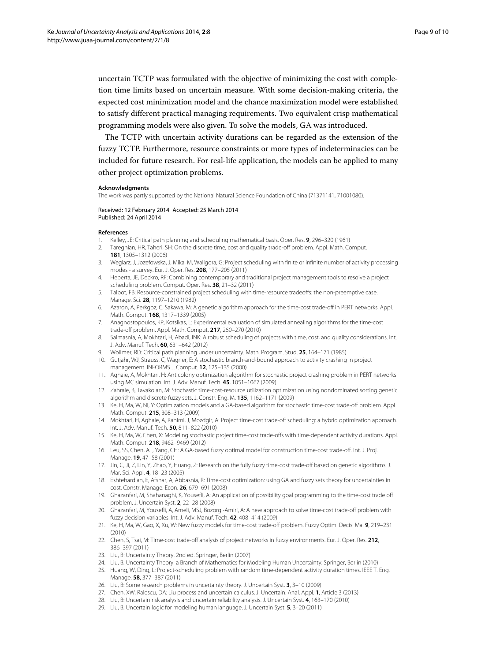uncertain TCTP was formulated with the objective of minimizing the cost with completion time limits based on uncertain measure. With some decision-making criteria, the expected cost minimization model and the chance maximization model were established to satisfy different practical managing requirements. Two equivalent crisp mathematical programming models were also given. To solve the models, GA was introduced.

The TCTP with uncertain activity durations can be regarded as the extension of the fuzzy TCTP. Furthermore, resource constraints or more types of indeterminacies can be included for future research. For real-life application, the models can be applied to many other project optimization problems.

#### **Acknowledgments**

The work was partly supported by the National Natural Science Foundation of China (71371141, 71001080).

Received: 12 February 2014 Accepted: 25 March 2014 Published: 24 April 2014

#### **References**

- <span id="page-8-0"></span>1. Kelley, JE: Critical path planning and scheduling mathematical basis. Oper. Res. **9**, 296–320 (1961)
- <span id="page-8-1"></span>2. Tareghian, HR, Taheri, SH: On the discrete time, cost and quality trade-off problem. Appl. Math. Comput. **181**, 1305–1312 (2006)
- <span id="page-8-2"></span>3. Weglarz, J, Jozefowska, J, Mika, M, Waligora, G: Project scheduling with finite or infinite number of activity processing modes - a survey. Eur. J. Oper. Res. **208**, 177–205 (2011)
- <span id="page-8-3"></span>4. Heberta, JE, Deckro, RF: Combining contemporary and traditional project management tools to resolve a project scheduling problem. Comput. Oper. Res. **38**, 21–32 (2011)
- <span id="page-8-4"></span>5. Talbot, FB: Resource-constrained project scheduling with time-resource tradeoffs: the non-preemptive case. Manage. Sci. **28**, 1197–1210 (1982)
- <span id="page-8-5"></span>6. Azaron, A, Perkgoz, C, Sakawa, M: A genetic algorithm approach for the time-cost trade-off in PERT networks. Appl. Math. Comput. **168**, 1317–1339 (2005)
- <span id="page-8-6"></span>7. Anagnostopoulos, KP, Kotsikas, L: Experimental evaluation of simulated annealing algorithms for the time-cost trade-off problem. Appl. Math. Comput. **217**, 260–270 (2010)
- <span id="page-8-7"></span>8. Salmasnia, A, Mokhtari, H, Abadi, INK: A robust scheduling of projects with time, cost, and quality considerations. Int. J. Adv. Manuf. Tech. **60**, 631–642 (2012)
- <span id="page-8-8"></span>9. Wollmer, RD: Critical path planning under uncertainty. Math. Program. Stud. **25**, 164–171 (1985)
- <span id="page-8-9"></span>10. Gutjahr, WJ, Strauss, C, Wagner, E: A stochastic branch-and-bound approach to activity crashing in project management. INFORMS J. Comput. **12**, 125–135 (2000)
- <span id="page-8-10"></span>11. Aghaie, A, Mokhtari, H: Ant colony optimization algorithm for stochastic project crashing problem in PERT networks using MC simulation. Int. J. Adv. Manuf. Tech. **45**, 1051–1067 (2009)
- <span id="page-8-11"></span>12. Zahraie, B, Tavakolan, M: Stochastic time-cost-resource utilization optimization using nondominated sorting genetic algorithm and discrete fuzzy sets. J. Constr. Eng. M. **135**, 1162–1171 (2009)
- <span id="page-8-12"></span>13. Ke, H, Ma, W, Ni, Y: Optimization models and a GA-based algorithm for stochastic time-cost trade-off problem. Appl. Math. Comput. **215**, 308–313 (2009)
- <span id="page-8-13"></span>14. Mokhtari, H, Aghaie, A, Rahimi, J, Mozdgir, A: Project time-cost trade-off scheduling: a hybrid optimization approach. Int. J. Adv. Manuf. Tech. **50**, 811–822 (2010)
- <span id="page-8-14"></span>15. Ke, H, Ma, W, Chen, X: Modeling stochastic project time-cost trade-offs with time-dependent activity durations. Appl. Math. Comput. **218**, 9462–9469 (2012)
- <span id="page-8-15"></span>16. Leu, SS, Chen, AT, Yang, CH: A GA-based fuzzy optimal model for construction time-cost trade-off. Int. J. Proj. Manage. **19**, 47–58 (2001)
- <span id="page-8-16"></span>17. Jin, C, Ji, Z, Lin, Y, Zhao, Y, Huang, Z: Research on the fully fuzzy time-cost trade-off based on genetic algorithms. J. Mar. Sci. Appl. **4**, 18–23 (2005)
- <span id="page-8-17"></span>18. Eshtehardian, E, Afshar, A, Abbasnia, R: Time-cost optimization: using GA and fuzzy sets theory for uncertainties in cost. Constr. Manage. Econ. **26**, 679–691 (2008)
- <span id="page-8-18"></span>19. Ghazanfari, M, Shahanaghi, K, Yousefli, A: An application of possibility goal programming to the time-cost trade off problem. J. Uncertain Syst. **2**, 22–28 (2008)
- <span id="page-8-19"></span>20. Ghazanfari, M, Yousefli, A, Ameli, MSJ, Bozorgi-Amiri, A: A new approach to solve time-cost trade-off problem with fuzzy decision variables. Int. J. Adv. Manuf. Tech. **42**, 408–414 (2009)
- <span id="page-8-20"></span>21. Ke, H, Ma, W, Gao, X, Xu, W: New fuzzy models for time-cost trade-off problem. Fuzzy Optim. Decis. Ma. **9**, 219–231 (2010)
- <span id="page-8-21"></span>22. Chen, S, Tsai, M: Time-cost trade-off analysis of project networks in fuzzy environments. Eur. J. Oper. Res. **212**, 386–397 (2011)
- <span id="page-8-22"></span>23. Liu, B: Uncertainty Theory. 2nd ed. Springer, Berlin (2007)
- <span id="page-8-23"></span>24. Liu, B: Uncertainty Theory: a Branch of Mathematics for Modeling Human Uncertainty. Springer, Berlin (2010)
- <span id="page-8-24"></span>25. Huang, W, Ding, L: Project-scheduling problem with random time-dependent activity duration times. IEEE T. Eng. Manage. **58**, 377–387 (2011)
- <span id="page-8-25"></span>26. Liu, B: Some research problems in uncertainty theory. J. Uncertain Syst. **3**, 3–10 (2009)
- <span id="page-8-26"></span>27. Chen, XW, Ralescu, DA: Liu process and uncertain calculus. J. Uncertain. Anal. Appl. **1**, Article 3 (2013)
- <span id="page-8-27"></span>28. Liu, B: Uncertain risk analysis and uncertain reliability analysis. J. Uncertain Syst. **4**, 163–170 (2010)
- <span id="page-8-28"></span>29. Liu, B: Uncertain logic for modeling human language. J. Uncertain Syst. **5**, 3–20 (2011)